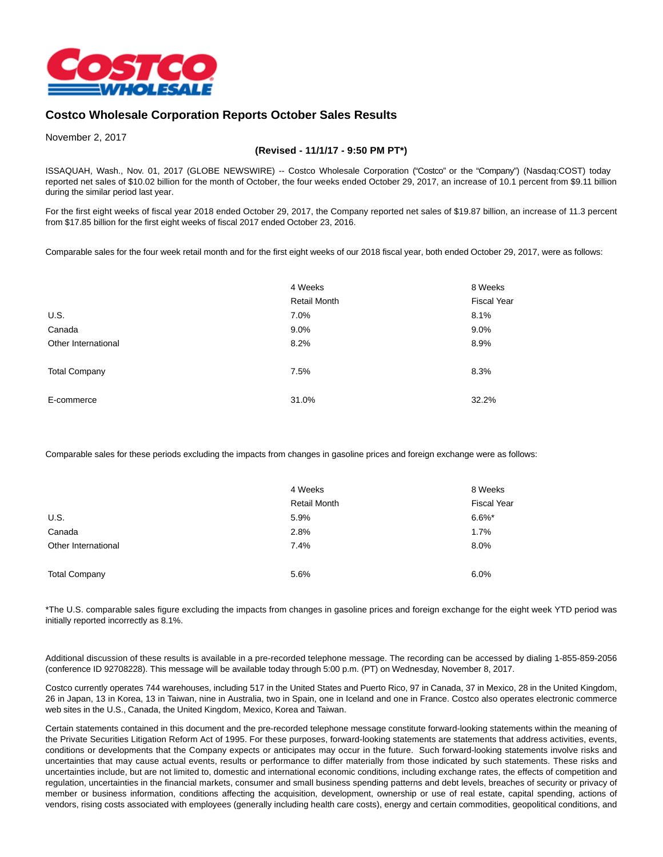

## **Costco Wholesale Corporation Reports October Sales Results**

November 2, 2017

## **(Revised - 11/1/17 - 9:50 PM PT\*)**

ISSAQUAH, Wash., Nov. 01, 2017 (GLOBE NEWSWIRE) -- Costco Wholesale Corporation ("Costco" or the "Company") (Nasdaq:COST) today reported net sales of \$10.02 billion for the month of October, the four weeks ended October 29, 2017, an increase of 10.1 percent from \$9.11 billion during the similar period last year.

For the first eight weeks of fiscal year 2018 ended October 29, 2017, the Company reported net sales of \$19.87 billion, an increase of 11.3 percent from \$17.85 billion for the first eight weeks of fiscal 2017 ended October 23, 2016.

Comparable sales for the four week retail month and for the first eight weeks of our 2018 fiscal year, both ended October 29, 2017, were as follows:

|                      | 4 Weeks<br><b>Retail Month</b> | 8 Weeks<br><b>Fiscal Year</b> |
|----------------------|--------------------------------|-------------------------------|
|                      |                                |                               |
| U.S.                 | 7.0%                           | 8.1%                          |
| Canada               | $9.0\%$                        | 9.0%                          |
| Other International  | 8.2%                           | 8.9%                          |
| <b>Total Company</b> | 7.5%                           | 8.3%                          |
| E-commerce           | 31.0%                          | 32.2%                         |

Comparable sales for these periods excluding the impacts from changes in gasoline prices and foreign exchange were as follows:

|                      | 4 Weeks<br><b>Retail Month</b> | 8 Weeks<br><b>Fiscal Year</b> |
|----------------------|--------------------------------|-------------------------------|
|                      |                                |                               |
| U.S.                 | 5.9%                           | $6.6\%$ *                     |
| Canada               | 2.8%                           | 1.7%                          |
| Other International  | 7.4%                           | 8.0%                          |
| <b>Total Company</b> | 5.6%                           | 6.0%                          |

\*The U.S. comparable sales figure excluding the impacts from changes in gasoline prices and foreign exchange for the eight week YTD period was initially reported incorrectly as 8.1%.

Additional discussion of these results is available in a pre-recorded telephone message. The recording can be accessed by dialing 1-855-859-2056 (conference ID 92708228). This message will be available today through 5:00 p.m. (PT) on Wednesday, November 8, 2017.

Costco currently operates 744 warehouses, including 517 in the United States and Puerto Rico, 97 in Canada, 37 in Mexico, 28 in the United Kingdom, 26 in Japan, 13 in Korea, 13 in Taiwan, nine in Australia, two in Spain, one in Iceland and one in France. Costco also operates electronic commerce web sites in the U.S., Canada, the United Kingdom, Mexico, Korea and Taiwan.

Certain statements contained in this document and the pre-recorded telephone message constitute forward-looking statements within the meaning of the Private Securities Litigation Reform Act of 1995. For these purposes, forward-looking statements are statements that address activities, events, conditions or developments that the Company expects or anticipates may occur in the future. Such forward-looking statements involve risks and uncertainties that may cause actual events, results or performance to differ materially from those indicated by such statements. These risks and uncertainties include, but are not limited to, domestic and international economic conditions, including exchange rates, the effects of competition and regulation, uncertainties in the financial markets, consumer and small business spending patterns and debt levels, breaches of security or privacy of member or business information, conditions affecting the acquisition, development, ownership or use of real estate, capital spending, actions of vendors, rising costs associated with employees (generally including health care costs), energy and certain commodities, geopolitical conditions, and